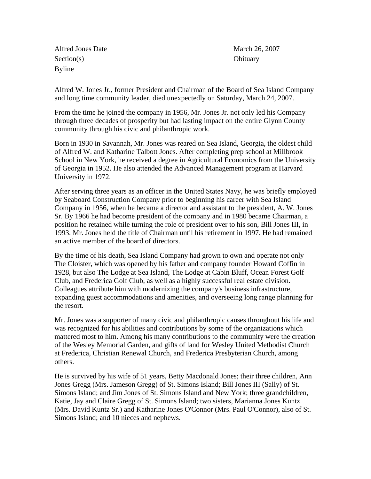Alfred Jones Date March 26, 2007 Section(s) Obituary Byline

Alfred W. Jones Jr., former President and Chairman of the Board of Sea Island Company and long time community leader, died unexpectedly on Saturday, March 24, 2007.

From the time he joined the company in 1956, Mr. Jones Jr. not only led his Company through three decades of prosperity but had lasting impact on the entire Glynn County community through his civic and philanthropic work.

Born in 1930 in Savannah, Mr. Jones was reared on Sea Island, Georgia, the oldest child of Alfred W. and Katharine Talbott Jones. After completing prep school at Millbrook School in New York, he received a degree in Agricultural Economics from the University of Georgia in 1952. He also attended the Advanced Management program at Harvard University in 1972.

After serving three years as an officer in the United States Navy, he was briefly employed by Seaboard Construction Company prior to beginning his career with Sea Island Company in 1956, when he became a director and assistant to the president, A. W. Jones Sr. By 1966 he had become president of the company and in 1980 became Chairman, a position he retained while turning the role of president over to his son, Bill Jones III, in 1993. Mr. Jones held the title of Chairman until his retirement in 1997. He had remained an active member of the board of directors.

By the time of his death, Sea Island Company had grown to own and operate not only The Cloister, which was opened by his father and company founder Howard Coffin in 1928, but also The Lodge at Sea Island, The Lodge at Cabin Bluff, Ocean Forest Golf Club, and Frederica Golf Club, as well as a highly successful real estate division. Colleagues attribute him with modernizing the company's business infrastructure, expanding guest accommodations and amenities, and overseeing long range planning for the resort.

Mr. Jones was a supporter of many civic and philanthropic causes throughout his life and was recognized for his abilities and contributions by some of the organizations which mattered most to him. Among his many contributions to the community were the creation of the Wesley Memorial Garden, and gifts of land for Wesley United Methodist Church at Frederica, Christian Renewal Church, and Frederica Presbyterian Church, among others.

He is survived by his wife of 51 years, Betty Macdonald Jones; their three children, Ann Jones Gregg (Mrs. Jameson Gregg) of St. Simons Island; Bill Jones III (Sally) of St. Simons Island; and Jim Jones of St. Simons Island and New York; three grandchildren, Katie, Jay and Claire Gregg of St. Simons Island; two sisters, Marianna Jones Kuntz (Mrs. David Kuntz Sr.) and Katharine Jones O'Connor (Mrs. Paul O'Connor), also of St. Simons Island; and 10 nieces and nephews.